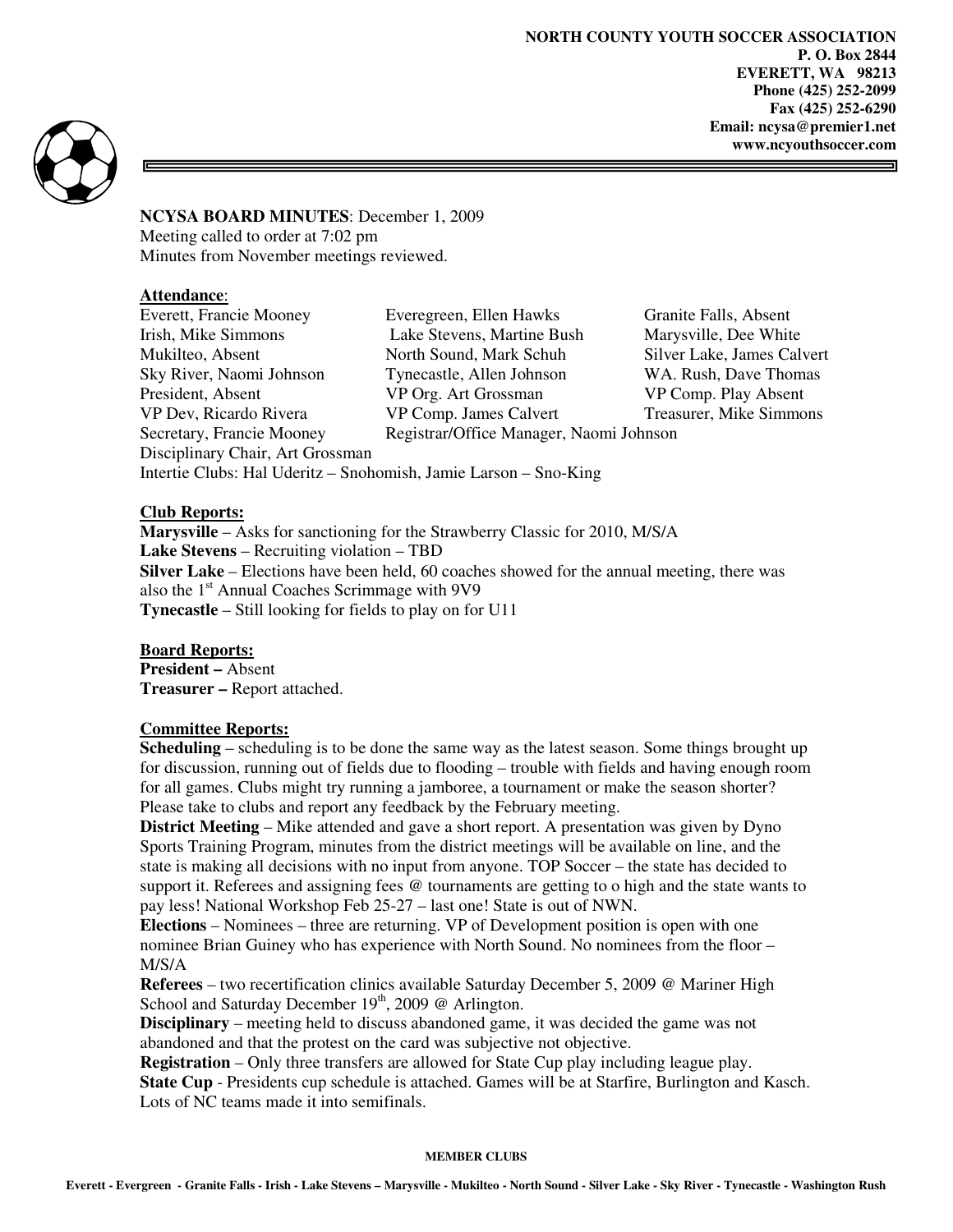**NORTH COUNTY YOUTH SOCCER ASSOCIATION P. O. Box 2844 EVERETT, WA 98213 Phone (425) 252-2099 Fax (425) 252-6290 Email: ncysa@premier1.net www.ncyouthsoccer.com** 



**NCYSA BOARD MINUTES**: December 1, 2009 Meeting called to order at 7:02 pm Minutes from November meetings reviewed.

### **Attendance**:

Everett, Francie Mooney Everegreen, Ellen Hawks Granite Falls, Absent Irish, Mike Simmons Lake Stevens, Martine Bush Marysville, Dee White Mukilteo, Absent North Sound, Mark Schuh Silver Lake, James Calvert Sky River, Naomi Johnson Tynecastle, Allen Johnson WA. Rush, Dave Thomas<br>President, Absent VP Org. Art Grossman VP Comp. Play Absent VP Dev, Ricardo Rivera VP Comp. James Calvert Treasurer, Mike Simmons Secretary, Francie Mooney Registrar/Office Manager, Naomi Johnson Disciplinary Chair, Art Grossman Intertie Clubs: Hal Uderitz – Snohomish, Jamie Larson – Sno-King

VP Org. Art Grossman

# **Club Reports:**

**Marysville** – Asks for sanctioning for the Strawberry Classic for 2010, M/S/A **Lake Stevens** – Recruiting violation – TBD **Silver Lake** – Elections have been held, 60 coaches showed for the annual meeting, there was also the 1<sup>st</sup> Annual Coaches Scrimmage with 9V9 **Tynecastle** – Still looking for fields to play on for U11

### **Board Reports:**

**President –** Absent **Treasurer –** Report attached.

### **Committee Reports:**

**Scheduling** – scheduling is to be done the same way as the latest season. Some things brought up for discussion, running out of fields due to flooding – trouble with fields and having enough room for all games. Clubs might try running a jamboree, a tournament or make the season shorter? Please take to clubs and report any feedback by the February meeting.

**District Meeting** – Mike attended and gave a short report. A presentation was given by Dyno Sports Training Program, minutes from the district meetings will be available on line, and the state is making all decisions with no input from anyone. TOP Soccer – the state has decided to support it. Referees and assigning fees @ tournaments are getting to o high and the state wants to pay less! National Workshop Feb 25-27 – last one! State is out of NWN.

**Elections** – Nominees – three are returning. VP of Development position is open with one nominee Brian Guiney who has experience with North Sound. No nominees from the floor – M/S/A

**Referees** – two recertification clinics available Saturday December 5, 2009 @ Mariner High School and Saturday December  $19<sup>th</sup>$ , 2009 @ Arlington.

**Disciplinary** – meeting held to discuss abandoned game, it was decided the game was not abandoned and that the protest on the card was subjective not objective.

**Registration** – Only three transfers are allowed for State Cup play including league play. **State Cup** - Presidents cup schedule is attached. Games will be at Starfire, Burlington and Kasch. Lots of NC teams made it into semifinals.

#### **MEMBER CLUBS**